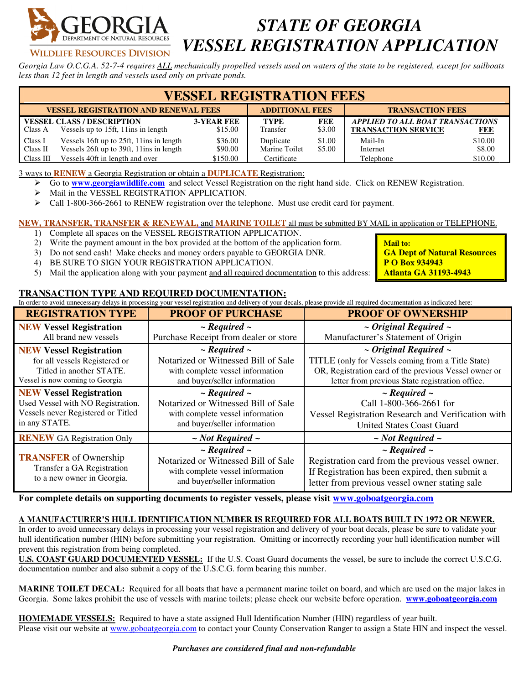

**VILDLIFE RESOURCES DIVISION** 

## *STATE OF GEORGIA VESSEL REGISTRATION APPLICATION*

*Georgia Law O.C.G.A. 52-7-4 requires ALL mechanically propelled vessels used on waters of the state to be registered, except for sailboats less than 12 feet in length and vessels used only on private ponds.* 

| <b>VESSEL REGISTRATION FEES</b> |                                                                                      |                              |                            |                         |                                                                       |                   |  |  |
|---------------------------------|--------------------------------------------------------------------------------------|------------------------------|----------------------------|-------------------------|-----------------------------------------------------------------------|-------------------|--|--|
|                                 | <b>VESSEL REGISTRATION AND RENEWAL FEES</b>                                          | <b>ADDITIONAL FEES</b>       |                            | <b>TRANSACTION FEES</b> |                                                                       |                   |  |  |
| Class A                         | <b>VESSEL CLASS / DESCRIPTION</b><br>Vessels up to 15ft, 11 ins in length            | <b>3-YEAR FEE</b><br>\$15.00 | <b>TYPE</b><br>Transfer    | FEE<br>\$3.00           | <b>APPLIED TO ALL BOAT TRANSACTIONS</b><br><b>TRANSACTION SERVICE</b> | <b>FEE</b>        |  |  |
| Class I<br>Class II             | Vessels 16ft up to 25ft, 11ins in length<br>Vessels 26ft up to 39ft, 11ins in length | \$36.00<br>\$90.00           | Duplicate<br>Marine Toilet | \$1.00<br>\$5.00        | Mail-In<br>Internet                                                   | \$10.00<br>\$8.00 |  |  |
| Class III                       | Vessels 40ft in length and over                                                      | \$150.00                     | Certificate                |                         | Telephone                                                             | \$10.00           |  |  |

3 ways to **RENEW** a Georgia Registration or obtain a **DUPLICATE** Registration:

- Go to **www.georgiawildlife.com** and select Vessel Registration on the right hand side. Click on RENEW Registration.
- Mail in the VESSEL REGISTRATION APPLICATION.
- $\triangleright$  Call 1-800-366-2661 to RENEW registration over the telephone. Must use credit card for payment.

**NEW, TRANSFER, TRANSFER & RENEWAL,** and **MARINE TOILET** all must be submitted BY MAIL in application or TELEPHONE.

- 1) Complete all spaces on the VESSEL REGISTRATION APPLICATION.
- 2) Write the payment amount in the box provided at the bottom of the application form.
- 3) Do not send cash! Make checks and money orders payable to GEORGIA DNR.
- 4) BE SURE TO SIGN YOUR REGISTRATION APPLICATION.
- 5) Mail the application along with your payment and all required documentation to this address:

## **TRANSACTION TYPE AND REQUIRED DOCUMENTATION:**

In order to avoid unnecessary delays in processing your vessel registration and delivery of your decals, please provide all required documentation as indicated here:

| <b>REGISTRATION TYPE</b>                                    | <b>PROOF OF PURCHASE</b>                                         | <b>PROOF OF OWNERSHIP</b>                                                                                                                   |  |  |  |
|-------------------------------------------------------------|------------------------------------------------------------------|---------------------------------------------------------------------------------------------------------------------------------------------|--|--|--|
| <b>NEW Vessel Registration</b>                              | $\sim$ Required $\sim$                                           | $\sim$ Original Required $\sim$<br>Manufacturer's Statement of Origin                                                                       |  |  |  |
| All brand new vessels                                       | Purchase Receipt from dealer or store                            |                                                                                                                                             |  |  |  |
| <b>NEW Vessel Registration</b>                              | $\sim$ Required $\sim$                                           | $\sim$ Original Required $\sim$                                                                                                             |  |  |  |
| for all vessels Registered or                               | Notarized or Witnessed Bill of Sale                              | TITLE (only for Vessels coming from a Title State)                                                                                          |  |  |  |
| Titled in another STATE.<br>Vessel is now coming to Georgia | with complete vessel information<br>and buyer/seller information | OR, Registration card of the previous Vessel owner or<br>letter from previous State registration office.                                    |  |  |  |
| <b>NEW Vessel Registration</b>                              | $\sim$ Required $\sim$                                           | $\sim$ Required $\sim$<br>Call 1-800-366-2661 for<br>Vessel Registration Research and Verification with<br><b>United States Coast Guard</b> |  |  |  |
| Used Vessel with NO Registration.                           | Notarized or Witnessed Bill of Sale                              |                                                                                                                                             |  |  |  |
| Vessels never Registered or Titled                          | with complete vessel information                                 |                                                                                                                                             |  |  |  |
| in any STATE.                                               | and buyer/seller information                                     |                                                                                                                                             |  |  |  |
| <b>RENEW GA Registration Only</b>                           | $\sim$ Not Required $\sim$                                       | $\sim$ Not Required $\sim$                                                                                                                  |  |  |  |
|                                                             | $\sim$ Required $\sim$                                           | $\sim$ Required $\sim$                                                                                                                      |  |  |  |
| <b>TRANSFER</b> of Ownership                                | Notarized or Witnessed Bill of Sale                              | Registration card from the previous vessel owner.                                                                                           |  |  |  |
| Transfer a GA Registration                                  | with complete vessel information                                 | If Registration has been expired, then submit a<br>letter from previous vessel owner stating sale                                           |  |  |  |
| to a new owner in Georgia.                                  | and buyer/seller information                                     |                                                                                                                                             |  |  |  |

**For complete details on supporting documents to register vessels, please visit www.goboatgeorgia.com**

## **A MANUFACTURER'S HULL IDENTIFICATION NUMBER IS REQUIRED FOR ALL BOATS BUILT IN 1972 OR NEWER.**

In order to avoid unnecessary delays in processing your vessel registration and delivery of your boat decals, please be sure to validate your hull identification number (HIN) before submitting your registration. Omitting or incorrectly recording your hull identification number will prevent this registration from being completed.

**U.S. COAST GUARD DOCUMENTED VESSEL:** If the U.S. Coast Guard documents the vessel, be sure to include the correct U.S.C.G. documentation number and also submit a copy of the U.S.C.G. form bearing this number.

**MARINE TOILET DECAL:** Required for all boats that have a permanent marine toilet on board, and which are used on the major lakes in Georgia. Some lakes prohibit the use of vessels with marine toilets; please check our website before operation. **www.goboatgeorgia.com**

**HOMEMADE VESSELS:** Required to have a state assigned Hull Identification Number (HIN) regardless of year built. Please visit our website at www.goboatgeorgia.com to contact your County Conservation Ranger to assign a State HIN and inspect the vessel.

**Mail to: GA Dept of Natural Resources P O Box 934943 Atlanta GA 31193-4943**